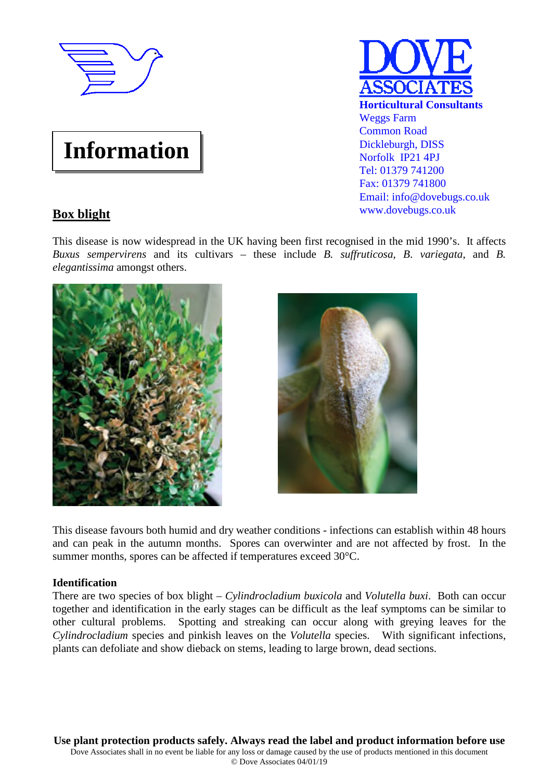

# **Information**



## **Box blight**

This disease is now widespread in the UK having been first recognised in the mid 1990's. It affects *Buxus sempervirens* and its cultivars – these include *B. suffruticosa*, *B*. *variegata*, and *B. elegantissima* amongst others.





This disease favours both humid and dry weather conditions - infections can establish within 48 hours and can peak in the autumn months. Spores can overwinter and are not affected by frost. In the summer months, spores can be affected if temperatures exceed 30°C.

### **Identification**

There are two species of box blight – *Cylindrocladium buxicola* and *Volutella buxi*. Both can occur together and identification in the early stages can be difficult as the leaf symptoms can be similar to other cultural problems. Spotting and streaking can occur along with greying leaves for the *Cylindrocladium* species and pinkish leaves on the *Volutella* species. With significant infections, plants can defoliate and show dieback on stems, leading to large brown, dead sections.